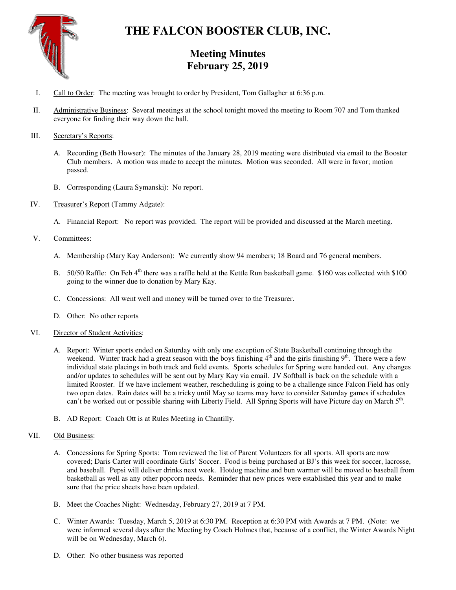

# **THE FALCON BOOSTER CLUB, INC.**

# **Meeting Minutes February 25, 2019**

- I. Call to Order: The meeting was brought to order by President, Tom Gallagher at 6:36 p.m.
- II. Administrative Business: Several meetings at the school tonight moved the meeting to Room 707 and Tom thanked everyone for finding their way down the hall.

## III. Secretary's Reports:

- A. Recording (Beth Howser): The minutes of the January 28, 2019 meeting were distributed via email to the Booster Club members. A motion was made to accept the minutes. Motion was seconded. All were in favor; motion passed.
- B. Corresponding (Laura Symanski): No report.
- IV. Treasurer's Report (Tammy Adgate):
	- A. Financial Report: No report was provided. The report will be provided and discussed at the March meeting.
- V. Committees:
	- A. Membership (Mary Kay Anderson): We currently show 94 members; 18 Board and 76 general members.
	- B. 50/50 Raffle: On Feb 4<sup>th</sup> there was a raffle held at the Kettle Run basketball game. \$160 was collected with \$100 going to the winner due to donation by Mary Kay.
	- C. Concessions: All went well and money will be turned over to the Treasurer.
	- D. Other: No other reports

#### VI. Director of Student Activities:

- A. Report: Winter sports ended on Saturday with only one exception of State Basketball continuing through the weekend. Winter track had a great season with the boys finishing  $4<sup>th</sup>$  and the girls finishing  $9<sup>th</sup>$ . There were a few individual state placings in both track and field events. Sports schedules for Spring were handed out. Any changes and/or updates to schedules will be sent out by Mary Kay via email. JV Softball is back on the schedule with a limited Rooster. If we have inclement weather, rescheduling is going to be a challenge since Falcon Field has only two open dates. Rain dates will be a tricky until May so teams may have to consider Saturday games if schedules can't be worked out or possible sharing with Liberty Field. All Spring Sports will have Picture day on March 5<sup>th</sup>.
- B. AD Report: Coach Ott is at Rules Meeting in Chantilly.

# VII. Old Business:

- A. Concessions for Spring Sports: Tom reviewed the list of Parent Volunteers for all sports. All sports are now covered; Daris Carter will coordinate Girls' Soccer. Food is being purchased at BJ's this week for soccer, lacrosse, and baseball. Pepsi will deliver drinks next week. Hotdog machine and bun warmer will be moved to baseball from basketball as well as any other popcorn needs. Reminder that new prices were established this year and to make sure that the price sheets have been updated.
- B. Meet the Coaches Night: Wednesday, February 27, 2019 at 7 PM.
- C. Winter Awards: Tuesday, March 5, 2019 at 6:30 PM. Reception at 6:30 PM with Awards at 7 PM. (Note: we were informed several days after the Meeting by Coach Holmes that, because of a conflict, the Winter Awards Night will be on Wednesday, March 6).
- D. Other: No other business was reported